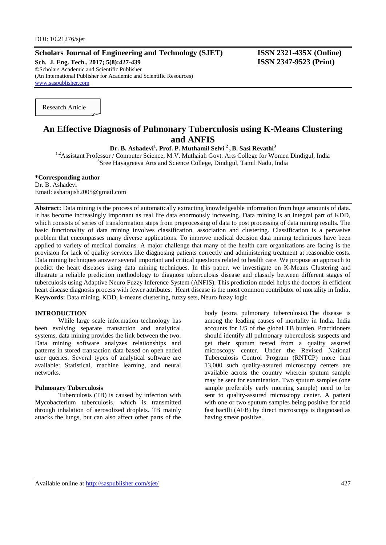# **Scholars Journal of Engineering and Technology (SJET) ISSN 2321-435X (Online)**

**Sch. J. Eng. Tech., 2017; 5(8):427-439 ISSN 2347-9523 (Print)** ©Scholars Academic and Scientific Publisher (An International Publisher for Academic and Scientific Resources) [www.saspublisher.com](http://www.saspublisher.com/)

Research Article

# **An Effective Diagnosis of Pulmonary Tuberculosis using K-Means Clustering and ANFIS**

**Dr. B. Ashadevi<sup>1</sup> , Prof. P. Muthamil Selvi <sup>2</sup> , B. Sasi Revathi<sup>3</sup>**

<sup>1,2</sup>Assistant Professor / Computer Science, M.V. Muthaiah Govt. Arts College for Women Dindigul, India <sup>3</sup>Sree Hayagreeva Arts and Science College, Dindigul, Tamil Nadu, India

## **\*Corresponding author**

Dr. B. Ashadevi Email: asharajish2005@gmail.com

**Abstract:** Data mining is the process of automatically extracting knowledgeable information from huge amounts of data. It has become increasingly important as real life data enormously increasing. Data mining is an integral part of KDD, which consists of series of transformation steps from preprocessing of data to post processing of data mining results. The basic functionality of data mining involves classification, association and clustering. Classification is a pervasive problem that encompasses many diverse applications. To improve medical decision data mining techniques have been applied to variety of medical domains. A major challenge that many of the health care organizations are facing is the provision for lack of quality services like diagnosing patients correctly and administering treatment at reasonable costs. Data mining techniques answer several important and critical questions related to health care. We propose an approach to predict the heart diseases using data mining techniques. In this paper, we investigate on K-Means Clustering and illustrate a reliable prediction methodology to diagnose tuberculosis disease and classify between different stages of tuberculosis using Adaptive Neuro Fuzzy Inference System (ANFIS). This prediction model helps the doctors in efficient heart disease diagnosis process with fewer attributes. Heart disease is the most common contributor of mortality in India. **Keywords:** Data mining, KDD, k-means clustering, fuzzy sets, Neuro fuzzy logic

## **INTRODUCTION**

While large scale information technology has been evolving separate transaction and analytical systems, data mining provides the link between the two. Data mining software analyzes relationships and patterns in stored transaction data based on open ended user queries. Several types of analytical software are available: Statistical, machine learning, and neural networks.

## **Pulmonary Tuberculosis**

Tuberculosis (TB) is caused by infection with Mycobacterium tuberculosis, which is transmitted through inhalation of aerosolized droplets. TB mainly attacks the lungs, but can also affect other parts of the body (extra pulmonary tuberculosis).The disease is among the leading causes of mortality in India. India accounts for 1/5 of the global TB burden. Practitioners should identify all pulmonary tuberculosis suspects and get their sputum tested from a quality assured microscopy center. Under the Revised National Tuberculosis Control Program (RNTCP) more than 13,000 such quality-assured microscopy centers are available across the country wherein sputum sample may be sent for examination. Two sputum samples (one sample preferably early morning sample) need to be sent to quality-assured microscopy center. A patient with one or two sputum samples being positive for acid fast bacilli (AFB) by direct microscopy is diagnosed as having smear positive.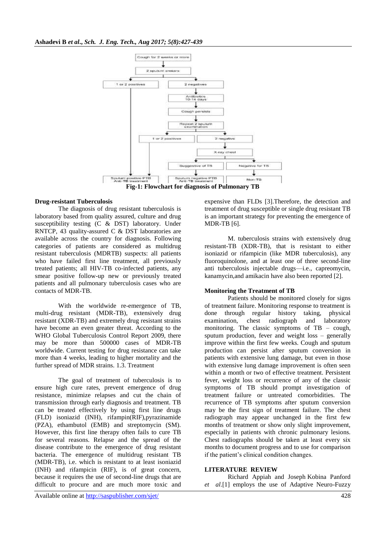

## **Drug-resistant Tuberculosis**

The diagnosis of drug resistant tuberculosis is laboratory based from quality assured, culture and drug susceptibility testing (C & DST) laboratory. Under RNTCP, 43 quality-assured C & DST laboratories are available across the country for diagnosis. Following categories of patients are considered as multidrug resistant tuberculosis (MDRTB) suspects: all patients who have failed first line treatment, all previously treated patients; all HIV-TB co-infected patients, any smear positive follow-up new or previously treated patients and all pulmonary tuberculosis cases who are contacts of MDR-TB.

With the worldwide re-emergence of TB, multi-drug resistant (MDR-TB), extensively drug resistant (XDR-TB) and extremely drug resistant strains have become an even greater threat. According to the WHO Global Tuberculosis Control Report 2009, there may be more than 500000 cases of MDR-TB worldwide. Current testing for drug resistance can take more than 4 weeks, leading to higher mortality and the further spread of MDR strains. 1.3. Treatment

The goal of treatment of tuberculosis is to ensure high cure rates, prevent emergence of drug resistance, minimize relapses and cut the chain of transmission through early diagnosis and treatment. TB can be treated effectively by using first line drugs (FLD) isoniazid (INH), rifampin(RIF),pyrazinamide (PZA), ethambutol (EMB) and streptomycin (SM). However, this first line therapy often fails to cure TB for several reasons. Relapse and the spread of the disease contribute to the emergence of drug resistant bacteria. The emergence of multidrug resistant TB (MDR-TB), i.e. which is resistant to at least isoniazid (INH) and rifampicin (RIF), is of great concern, because it requires the use of second-line drugs that are difficult to procure and are much more toxic and

expensive than FLDs [3].Therefore, the detection and treatment of drug susceptible or single drug resistant TB is an important strategy for preventing the emergence of MDR-TB [6].

M. tuberculosis strains with extensively drug resistant-TB (XDR-TB), that is resistant to either isoniazid or rifampicin (like MDR tuberculosis), any fluoroquinolone, and at least one of three second-line anti tuberculosis injectable drugs—i.e., capreomycin, kanamycin,and amikacin have also been reported [2].

### **Monitoring the Treatment of TB**

Patients should be monitored closely for signs of treatment failure. Monitoring response to treatment is done through regular history taking, physical examination, chest radiograph and laboratory monitoring. The classic symptoms of TB – cough, sputum production, fever and weight loss – generally improve within the first few weeks. Cough and sputum production can persist after sputum conversion in patients with extensive lung damage, but even in those with extensive lung damage improvement is often seen within a month or two of effective treatment. Persistent fever, weight loss or recurrence of any of the classic symptoms of TB should prompt investigation of treatment failure or untreated comorbidities. The recurrence of TB symptoms after sputum conversion may be the first sign of treatment failure. The chest radiograph may appear unchanged in the first few months of treatment or show only slight improvement, especially in patients with chronic pulmonary lesions. Chest radiographs should be taken at least every six months to document progress and to use for comparison if the patient's clinical condition changes.

### **LITERATURE REVIEW**

Richard Appiah and Joseph Kobina Panford *et al*.[1] employs the use of Adaptive Neuro-Fuzzy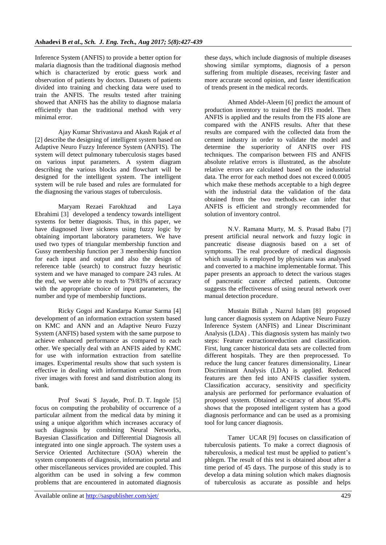Inference System (ANFIS) to provide a better option for malaria diagnosis than the traditional diagnosis method which is characterized by erotic guess work and observation of patients by doctors. Datasets of patients divided into training and checking data were used to train the ANFIS. The results tested after training showed that ANFIS has the ability to diagnose malaria efficiently than the traditional method with very minimal error.

Ajay Kumar Shrivastava and Akash Rajak *et al* [2] describe the designing of intelligent system based on Adaptive Neuro Fuzzy Inference System (ANFIS). The system will detect pulmonary tuberculosis stages based on various input parameters. A system diagram describing the various blocks and flowchart will be designed for the intelligent system. The intelligent system will be rule based and rules are formulated for the diagnosing the various stages of tuberculosis.

Maryam Rezaei Farokhzad and Laya Ebrahimi [3] developed a tendency towards intelligent systems for better diagnosis. Thus, in this paper, we have diagnosed liver sickness using fuzzy logic by obtaining important laboratory parameters. We have used two types of triangular membership function and Gussy membership function per 3 membership function for each input and output and also the design of reference table (search) to construct fuzzy heuristic system and we have managed to compare 243 rules. At the end, we were able to reach to 79/83% of accuracy with the appropriate choice of input parameters, the number and type of membership functions.

Ricky Gogoi and Kandarpa Kumar Sarma [4] development of an information extraction system based on KMC and ANN and an Adaptive Neuro Fuzzy System (ANFIS) based system with the same purpose to achieve enhanced performance as compared to each other. We specially deal with an ANFIS aided by KMC for use with information extraction from satellite images. Experimental results show that such system is effective in dealing with information extraction from river images with forest and sand distribution along its bank.

Prof Swati S Jayade, Prof. D. T. Ingole [5] focus on computing the probability of occurrence of a particular ailment from the medical data by mining it using a unique algorithm which increases accuracy of such diagnosis by combining Neural Networks, Bayesian Classification and Differential Diagnosis all integrated into one single approach. The system uses a Service Oriented Architecture (SOA) wherein the system components of diagnosis, information portal and other miscellaneous services provided are coupled. This algorithm can be used in solving a few common problems that are encountered in automated diagnosis

these days, which include diagnosis of multiple diseases showing similar symptoms, diagnosis of a person suffering from multiple diseases, receiving faster and more accurate second opinion, and faster identification of trends present in the medical records.

Ahmed Abdel-Aleem [6] predict the amount of production inventory to trained the FIS model. Then ANFIS is applied and the results from the FIS alone are compared with the ANFIS results. After that these results are compared with the collected data from the cement industry in order to validate the model and determine the superiority of ANFIS over FIS techniques. The comparison between FIS and ANFIS absolute relative errors is illustrated, as the absolute relative errors are calculated based on the industrial data. The error for each method does not exceed 0.0005 which make these methods acceptable to a high degree with the industrial data the validation of the data obtained from the two methods.we can infer that ANFIS is efficient and strongly recommended for solution of inventory control.

N.V. Ramana Murty, M. S. Prasad Babu [7] present artificial neural network and fuzzy logic in pancreatic disease diagnosis based on a set of symptoms. The real procedure of medical diagnosis which usually is employed by physicians was analysed and converted to a machine implementable format. This paper presents an approach to detect the various stages of pancreatic cancer affected patients. Outcome suggests the effectiveness of using neural network over manual detection procedure.

Mustain Billah , Nazrul Islam [8] proposed lung cancer diagnosis system on Adaptive Neuro Fuzzy Inference System (ANFIS) and Linear Discriminant Analysis (LDA) . This diagnosis system has mainly two steps: Feature extractionreduction and classification. First, lung cancer historical data sets are collected from different hospitals. They are then preprocessed. To reduce the lung cancer features dimensionality, Linear Discriminant Analysis (LDA) is applied. Reduced features are then fed into ANFIS classifier system. Classification accuracy, sensitivity and specificity analysis are performed for performance evaluation of proposed system. Obtained ac-curacy of about 95.4% shows that the proposed intelligent system has a good diagnosis performance and can be used as a promising tool for lung cancer diagnosis.

Tamer UCAR [9] focuses on classification of tuberculosis patients. To make a correct diagnosis of tuberculosis, a medical test must be applied to patient's phlegm. The result of this test is obtained about after a time period of 45 days. The purpose of this study is to develop a data mining solution which makes diagnosis of tuberculosis as accurate as possible and helps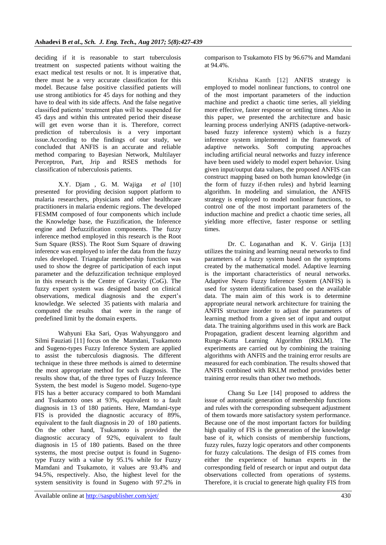deciding if it is reasonable to start tuberculosis treatment on suspected patients without waiting the exact medical test results or not. It is imperative that, there must be a very accurate classification for this model. Because false positive classified patients will use strong antibiotics for 45 days for nothing and they have to deal with its side affects. And the false negative classified patients' treatment plan will be suspended for 45 days and within this untreated period their disease will get even worse than it is. Therefore, correct prediction of tuberculosis is a very important issue.According to the findings of our study, we concluded that ANFIS is an accurate and reliable method comparing to Bayesian Network, Multilayer Perceptron, Part, Jrip and RSES methods for classification of tuberculosis patients.

X.Y. Djam , G. M. Wajiga *et al* [10] presented for providing decision support platform to malaria researchers, physicians and other healthcare practitioners in malaria endemic regions. The developed FESMM composed of four components which include the Knowledge base, the Fuzzification, the Inference engine and Defuzzification components. The fuzzy inference method employed in this research is the Root Sum Square (RSS). The Root Sum Square of drawing inference was employed to infer the data from the fuzzy rules developed. Triangular membership function was used to show the degree of participation of each input parameter and the defuzzification technique employed in this research is the Centre of Gravity (CoG). The fuzzy expert system was designed based on clinical observations, medical diagnosis and the expert's knowledge. We selected 35 patients with malaria and computed the results that were in the range of predefined limit by the domain experts.

Wahyuni Eka Sari, Oyas Wahyunggoro and Silmi Fauziati [11] focus on the Mamdani, Tsukamoto and Sugeno-types Fuzzy Inference System are applied to assist the tuberculosis diagnosis. The different technique in these three methods is aimed to determine the most appropriate method for such diagnosis. The results show that, of the three types of Fuzzy Inference System, the best model is Sugeno model. Sugeno-type FIS has a better accuracy compared to both Mamdani and Tsukamoto ones at 93%, equivalent to a fault diagnosis in 13 of 180 patients. Here, Mamdani-type FIS is provided the diagnostic accuracy of 89%, equivalent to the fault diagnosis in 20 of 180 patients. On the other hand, Tsukamoto is provided the diagnostic accuracy of 92%, equivalent to fault diagnosis in 15 of 180 patients. Based on the three systems, the most precise output is found in Sugenotype Fuzzy with a value by 95.1% while for Fuzzy Mamdani and Tsukamoto, it values are 93.4% and 94.5%, respectively. Also, the highest level for the system sensitivity is found in Sugeno with 97.2% in

comparison to Tsukamoto FIS by 96.67% and Mamdani at 94.4%.

Krishna Kanth [12] ANFIS strategy is employed to model nonlinear functions, to control one of the most important parameters of the induction machine and predict a chaotic time series, all yielding more effective, faster response or settling times. Also in this paper, we presented the architecture and basic learning process underlying ANFIS (adaptive-networkbased fuzzy inference system) which is a fuzzy inference system implemented in the framework of adaptive networks. Soft computing approaches including artificial neural networks and fuzzy inference have been used widely to model expert behavior. Using given input/output data values, the proposed ANFIS can construct mapping based on both human knowledge (in the form of fuzzy if-then rules) and hybrid learning algorithm. In modeling and simulation, the ANFIS strategy is employed to model nonlinear functions, to control one of the most important parameters of the induction machine and predict a chaotic time series, all yielding more effective, faster response or settling times.

Dr. C. Loganathan and K. V. Girija [13] utilizes the training and learning neural networks to find parameters of a fuzzy system based on the symptoms created by the mathematical model. Adaptive learning is the important characteristics of neural networks. Adaptive Neuro Fuzzy Inference System (ANFIS) is used for system identification based on the available data. The main aim of this work is to determine appropriate neural network architecture for training the ANFIS structure inorder to adjust the parameters of learning method from a given set of input and output data. The training algorithms used in this work are Back Propagation, gradient descent learning algorithm and Runge-Kutta Learning Algorithm (RKLM). The experiments are carried out by combining the training algorithms with ANFIS and the training error results are measured for each combination. The results showed that ANFIS combined with RKLM method provides better training error results than other two methods.

Chang Su Lee [14] proposed to address the issue of automatic generation of membership functions and rules with the corresponding subsequent adjustment of them towards more satisfactory system performance. Because one of the most important factors for building high quality of FIS is the generation of the knowledge base of it, which consists of membership functions, fuzzy rules, fuzzy logic operators and other components for fuzzy calculations. The design of FIS comes from either the experience of human experts in the corresponding field of research or input and output data observations collected from operations of systems. Therefore, it is crucial to generate high quality FIS from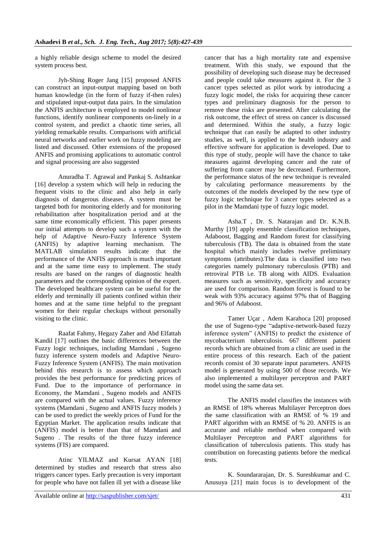a highly reliable design scheme to model the desired system process best.

Jyh-Shing Roger Jang [15] proposed ANFIS can construct an input-output mapping based on both human knowledge (in the form of fuzzy if-then rules) and stipulated input-output data pairs. In the simulation the ANFIS architecture is employed to model nonlinear functions, identify nonlinear components on-linely in a control system, and predict a chaotic time series, all yielding remarkable results. Comparisons with artificial neural networks and earlier work on fuzzy modeling are listed and discussed. Other extensions of the proposed ANFIS and promising applications to automatic control and signal processing are also suggested

Anuradha T. Agrawal and Pankaj S. Ashtankar [16] develop a system which will help in reducing the frequent visits to the clinic and also help in early diagnosis of dangerous diseases. A system must be targeted both for monitoring elderly and for monitoring rehabilitation after hospitalization period and at the same time economically efficient. This paper presents our initial attempts to develop such a system with the help of Adaptive Neuro-Fuzzy Inference System (ANFIS) by adaptive learning mechanism. The MATLAB simulation results indicate that the performance of the ANFIS approach is much important and at the same time easy to implement. The study results are based on the ranges of diagnostic health parameters and the corresponding opinion of the expert. The developed healthcare system can be useful for the elderly and terminally ill patients confined within their homes and at the same time helpful to the pregnant women for their regular checkups without personally visiting to the clinic.

Raafat Fahmy, Hegazy Zaher and Abd Elfattah Kandil [17] outlines the basic differences between the Fuzzy logic techniques, including Mamdani , Sugeno fuzzy inference system models and Adaptive Neuro-Fuzzy Inference System (ANFIS). The main motivation behind this research is to assess which approach provides the best performance for predicting prices of Fund. Due to the importance of performance in Economy, the Mamdani , Sugeno models and ANFIS are compared with the actual values. Fuzzy inference systems (Mamdani , Sugeno and ANFIS fuzzy models ) can be used to predict the weekly prices of Fund for the Egyptian Market. The application results indicate that (ANFIS) model is better than that of Mamdani and Sugeno . The results of the three fuzzy inference systems (FIS) are compared.

Atinc YILMAZ and Kursat AYAN [18] determined by studies and research that stress also triggers cancer types. Early precaution is very important for people who have not fallen ill yet with a disease like

cancer that has a high mortality rate and expensive treatment. With this study, we expound that the possibility of developing such disease may be decreased and people could take measures against it. For the 3 cancer types selected as pilot work by introducing a fuzzy logic model, the risks for acquiring these cancer types and preliminary diagnosis for the person to remove these risks are presented. After calculating the risk outcome, the effect of stress on cancer is discussed and determined. Within the study, a fuzzy logic technique that can easily be adapted to other industry studies, as well, is applied to the health industry and effective software for application is developed. Due to this type of study, people will have the chance to take measures against developing cancer and the rate of suffering from cancer may be decreased. Furthermore, the performance status of the new technique is revealed by calculating performance measurements by the outcomes of the models developed by the new type of fuzzy logic technique for 3 cancer types selected as a pilot in the Mamdani type of fuzzy logic model.

Asha.T , Dr. S. Natarajan and Dr. K.N.B. Murthy [19] apply ensemble classification techniques, Adaboost, Bagging and Random forest for classifying tuberculosis (TB). The data is obtained from the state hospital which mainly includes twelve preliminary symptoms (attributes).The data is classified into two categories namely pulmonary tuberculosis (PTB) and retroviral PTB i.e. TB along with AIDS. Evaluation measures such as sensitivity, specificity and accuracy are used for comparison. Random forest is found to be weak with 93% accuracy against 97% that of Bagging and 96% of Adaboost.

Tamer Uçar , Adem Karahoca [20] proposed the use of Sugeno-type "adaptive-network-based fuzzy inference system" (ANFIS) to predict the existence of mycobacterium tuberculosis. 667 different patient records which are obtained from a clinic are used in the entire process of this research. Each of the patient records consist of 30 separate input parameters. ANFIS model is generated by using 500 of those records. We also implemented a multilayer perceptron and PART model using the same data set.

The ANFIS model classifies the instances with an RMSE of 18% whereas Multilayer Perceptron does the same classification with an RMSE of % 19 and PART algorithm with an RMSE of % 20. ANFIS is an accurate and reliable method when compared with Multilayer Perceptron and PART algorithms for classification of tuberculosis patients. This study has contribution on forecasting patients before the medical tests.

K. Soundararajan, Dr. S. Sureshkumar and C. Anusuya [21] main focus is to development of the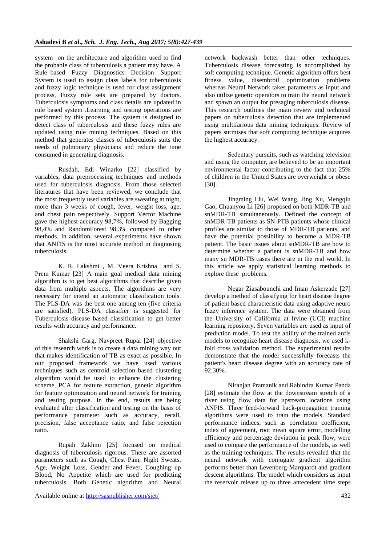system on the architecture and algorithm used to find the probable class of tuberculosis a patient may have. A Rule–based Fuzzy Diagnostics Decision Support System is used to assign class labels for tuberculosis and fuzzy logic technique is used for class assignment process, Fuzzy rule sets are prepared by doctors. Tuberculosis symptoms and class details are updated in rule based system .Learning and testing operations are performed by this process. The system is designed to detect class of tuberculosis and these fuzzy rules are updated using rule mining techniques. Based on this method that generates classes of tuberculosis suits the needs of pulmonary physicians and reduce the time consumed in generating diagnosis.

Rusdah, Edi Winarko [22] classified by variables, data preprocessing techniques and methods used for tuberculosis diagnosis. From those selected literatures that have been reviewed, we conclude that the most frequently used variables are sweating at night, more than 3 weeks of cough, fever, weight loss, age, and chest pain respectively. Support Vector Machine gave the highest accuracy 98,7%, followed by Bagging 98,4% and RandomForest 98,3% compared to other methods. In addition, several experiments have shown that ANFIS is the most accurate method in diagnosing tuberculosis.

K. R. Lakshmi , M. Veera Krishna and S. Prem Kumar [23] A main goal medical data mining algorithm is to get best algorithms that describe given data from multiple aspects. The algorithms are very necessary for intend an automatic classification tools. The PLS-DA was the best one among ten (five criteria are satisfied). PLS-DA classifier is suggested for Tuberculosis disease based classification to get better results with accuracy and performance.

Shakshi Garg, Navpreet Rupal [24] objective of this research work is to create a data mining way out that makes identification of TB as exact as possible. In our proposed framework we have used various techniques such as centroid selection based clustering algorithm would be used to enhance the clustering scheme, PCA for feature extraction, genetic algorithm for feature optimization and neural network for training and testing purpose. In the end, results are being evaluated after classification and testing on the basis of performance parameter such as accuracy, recall, precision, false acceptance ratio, and false rejection ratio.

Rupali Zakhmi [25] focused on medical diagnosis of tuberculosis rigorous. There are assorted parameters such as Cough, Chest Pain, Night Sweats, Age, Weight Loss, Gender and Fever, Coughing up Blood, No Appetite which are used for predicting tuberculosis. Both Genetic algorithm and Neural

network backwash better than other techniques. Tuberculosis disease forecasting is accomplished by soft computing technique. Genetic algorithm offers best fitness value, disembroil optimization problems whereas Neural Network takes parameters as input and also utilize genetic operators to train the neural network and spawn an output for presaging tuberculosis disease. This research outlines the main review and technical papers on tuberculosis detection that are implemented using multifarious data mining techniques. Review of papers surmises that soft computing technique acquires the highest accuracy.

Sedentary pursuits, such as watching television and using the computer, are believed to be an important environmental factor contributing to the fact that 25% of children in the United States are overweight or obese [30].

Jingming Liu, Wei Wang, Jing Xu, Mengqiu Gao, Chuanyou Li [26] proposed on both MDR-TB and snMDR-TB simultaneously. Defined the concept of snMDR-TB patients as SN-PTB patients whose clinical profiles are similar to those of MDR-TB patients, and have the potential possibility to become a MDR-TB patient. The basic issues about snMDR-TB are how to determine whether a patient is snMDR-TB and how many sn MDR-TB cases there are in the real world. In this article we apply statistical learning methods to explore these problems.

Negar Ziasabounchi and Iman Askerzade [27] develop a method of classifying for heart disease degree of patient based characteristic data using adaptive neuro fuzzy inference system. The data were obtained from the University of California at Irvine (UCI) machine learning repository. Seven variables are used as input of prediction model. To test the ability of the trained anfis models to recognize heart disease diagnosis, we used kfold cross validation method. The experimental results demonstrate that the model successfully forecasts the patient's heart disease degree with an accuracy rate of 92.30%.

Niranjan Pramanik and Rabindra Kumar Panda [28] estimate the flow at the downstream stretch of a river using flow data for upstream locations using ANFIS. Three feed-forward back-propagation training algorithms were used to train the models. Standard performance indices, such as correlation coefficient, index of agreement, root mean square error, modelling efficiency and percentage deviation in peak flow, were used to compare the performance of the models, as well as the training techniques. The results revealed that the neural network with conjugate gradient algorithm performs better than Levenberg-Marquardt and gradient descent algorithms. The model which considers as input the reservoir release up to three antecedent time steps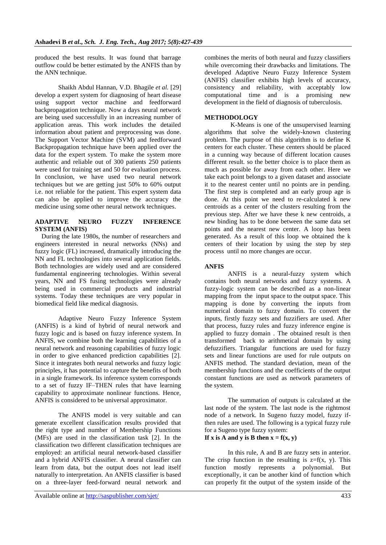produced the best results. It was found that barrage outflow could be better estimated by the ANFIS than by the ANN technique.

Shaikh Abdul Hannan, V.D. Bhagile *et al.* [29] develop a expert system for diagnosing of heart disease using support vector machine and feedforward backpropagation technique. Now a days neural network are being used successfully in an increasing number of application areas. This work includes the detailed information about patient and preprocessing was done. The Support Vector Machine (SVM) and feedforward Backpropagation technique have been applied over the data for the expert system. To make the system more authentic and reliable out of 300 patients 250 patients were used for training set and 50 for evaluation process. In conclusion, we have used two neural network techniques but we are getting just 50% to 60% output i.e. not reliable for the patient. This expert system data can also be applied to improve the accuracy the medicine using some other neural network techniques.

# **ADAPTIVE NEURO FUZZY INFERENCE SYSTEM (ANFIS)**

During the late 1980s, the number of researchers and engineers interested in neural networks (NNs) and fuzzy logic (FL) increased, dramatically introducing the NN and FL technologies into several application fields. Both technologies are widely used and are considered fundamental engineering technologies. Within several years, NN and FS fusing technologies were already being used in commercial products and industrial systems. Today these techniques are very popular in biomedical field like medical diagnosis.

Adaptive Neuro Fuzzy Inference System (ANFIS) is a kind of hybrid of neural network and fuzzy logic and is based on fuzzy inference system. In ANFIS, we combine both the learning capabilities of a neural network and reasoning capabilities of fuzzy logic in order to give enhanced prediction capabilities [2]. Since it integrates both neural networks and fuzzy logic principles, it has potential to capture the benefits of both in a single framework. Its inference system corresponds to a set of fuzzy IF–THEN rules that have learning capability to approximate nonlinear functions. Hence, ANFIS is considered to be universal approximator.

The ANFIS model is very suitable and can generate excellent classification results provided that the right type and number of Membership Functions (MFs) are used in the classification task [2]. In the classification two different classification techniques are employed: an artificial neural network-based classifier and a hybrid ANFIS classifier. A neural classifier can learn from data, but the output does not lead itself naturally to interpretation. An ANFIS classifier is based on a three-layer feed-forward neural network and

combines the merits of both neural and fuzzy classifiers while overcoming their drawbacks and limitations. The developed Adaptive Neuro Fuzzy Inference System (ANFIS) classifier exhibits high levels of accuracy, consistency and reliability, with acceptably low computational time and is a promising new development in the field of diagnosis of tuberculosis.

# **METHODOLOGY**

 K-Means is one of the unsupervised learning algorithms that solve the widely-known clustering problem. The purpose of this algorithm is to define K centers for each cluster. These centers should be placed in a cunning way because of different location causes different result. so the better choice is to place them as much as possible for away from each other. Here we take each point belongs to a given dataset and associate it to the nearest center until no points are in pending. The first step is completed and an early group age is done. At this point we need to re-calculated k new centroids as a center of the clusters resulting from the previous step. After we have these k new centroids, a new binding has to be done between the same data set points and the nearest new center. A loop has been generated. As a result of this loop we obtained the k centers of their location by using the step by step process until no more changes are occur.

# **ANFIS**

ANFIS is a neural-fuzzy system which contains both neural networks and fuzzy systems. A fuzzy-logic system can be described as a non-linear mapping from the input space to the output space. This mapping is done by converting the inputs from numerical domain to fuzzy domain. To convert the inputs, firstly fuzzy sets and fuzzifiers are used. After that process, fuzzy rules and fuzzy inference engine is applied to fuzzy domain . The obtained result is then transformed back to arithmetical domain by using defuzzifiers. Triangular functions are used for fuzzy sets and linear functions are used for rule outputs on ANFIS method. The standard deviation, mean of the membership functions and the coefficients of the output constant functions are used as network parameters of the system.

The summation of outputs is calculated at the last node of the system. The last node is the rightmost node of a network. In Sugeno fuzzy model, fuzzy ifthen rules are used. The following is a typical fuzzy rule for a Sugeno type fuzzy system:

# If x is A and y is B then  $x = f(x, y)$

In this rule, A and B are fuzzy sets in anterior. The crisp function in the resulting is  $z=f(x, y)$ . This function mostly represents a polynomial. But exceptionally, it can be another kind of function which can properly fit the output of the system inside of the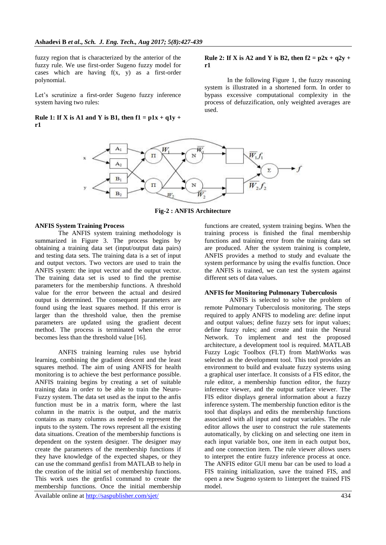fuzzy region that is characterized by the anterior of the fuzzy rule. We use first-order Sugeno fuzzy model for cases which are having  $f(x, y)$  as a first-order polynomial.

Let's scrutinize a first-order Sugeno fuzzy inference system having two rules:

**Rule 1: If X is A1 and Y is B1, then**  $f1 = p1x + q1y + q1y$ **r1**

#### **Rule 2: If X is A2 and Y is B2, then**  $f2 = p2x + q2y + q3$ **r1**

 In the following Figure 1, the fuzzy reasoning system is illustrated in a shortened form. In order to bypass excessive computational complexity in the process of defuzzification, only weighted averages are used.



**Fig-2 : ANFIS Architecture**

## **ANFIS System Training Process**

The ANFIS system training methodology is summarized in Figure 3. The process begins by obtaining a training data set (input/output data pairs) and testing data sets. The training data is a set of input and output vectors. Two vectors are used to train the ANFIS system: the input vector and the output vector. The training data set is used to find the premise parameters for the membership functions. A threshold value for the error between the actual and desired output is determined. The consequent parameters are found using the least squares method. If this error is larger than the threshold value, then the premise parameters are updated using the gradient decent method. The process is terminated when the error becomes less than the threshold value [16].

ANFIS training learning rules use hybrid learning, combining the gradient descent and the least squares method. The aim of using ANFIS for health monitoring is to achieve the best performance possible. ANFIS training begins by creating a set of suitable training data in order to be able to train the Neuro-Fuzzy system. The data set used as the input to the anfis function must be in a matrix form, where the last column in the matrix is the output, and the matrix contains as many columns as needed to represent the inputs to the system. The rows represent all the existing data situations. Creation of the membership functions is dependent on the system designer. The designer may create the parameters of the membership functions if they have knowledge of the expected shapes, or they can use the command genfis1 from MATLAB to help in the creation of the initial set of membership functions. This work uses the genfis1 command to create the membership functions. Once the initial membership

Available online at<http://saspublisher.com/sjet/> 434

functions are created, system training begins. When the training process is finished the final membership functions and training error from the training data set are produced. After the system training is complete, ANFIS provides a method to study and evaluate the system performance by using the evalfis function. Once the ANFIS is trained, we can test the system against different sets of data values.

## **ANFIS for Monitoring Pulmonary Tuberculosis**

ANFIS is selected to solve the problem of remote Pulmonary Tuberculosis monitoring. The steps required to apply ANFIS to modeling are: define input and output values; define fuzzy sets for input values; define fuzzy rules; and create and train the Neural Network. To implement and test the proposed architecture, a development tool is required. MATLAB Fuzzy Logic Toolbox (FLT) from MathWorks was selected as the development tool. This tool provides an environment to build and evaluate fuzzy systems using a graphical user interface. It consists of a FIS editor, the rule editor, a membership function editor, the fuzzy inference viewer, and the output surface viewer. The FIS editor displays general information about a fuzzy inference system. The membership function editor is the tool that displays and edits the membership functions associated with all input and output variables. The rule editor allows the user to construct the rule statements automatically, by clicking on and selecting one item in each input variable box, one item in each output box, and one connection item. The rule viewer allows users to interpret the entire fuzzy inference process at once. The ANFIS editor GUI menu bar can be used to load a FIS training initialization, save the trained FIS, and open a new Sugeno system to 1interpret the trained FIS model.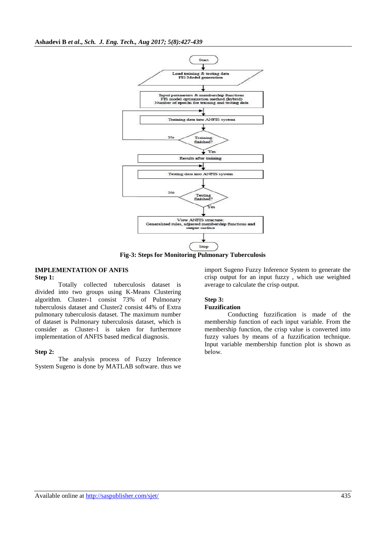

**Fig-3: Steps for Monitoring Pulmonary Tuberculosis**

#### **IMPLEMENTATION OF ANFIS Step 1:**

Totally collected tuberculosis dataset is divided into two groups using K-Means Clustering algorithm. Cluster-1 consist 73% of Pulmonary tuberculosis dataset and Cluster2 consist 44% of Extra pulmonary tuberculosis dataset. The maximum number of dataset is Pulmonary tuberculosis dataset, which is consider as Cluster-1 is taken for furthermore implementation of ANFIS based medical diagnosis.

## **Step 2:**

The analysis process of Fuzzy Inference System Sugeno is done by MATLAB software. thus we

import Sugeno Fuzzy Inference System to generate the crisp output for an input fuzzy , which use weighted average to calculate the crisp output.

# **Step 3:**

## **Fuzzification**

Conducting fuzzification is made of the membership function of each input variable. From the membership function, the crisp value is converted into fuzzy values by means of a fuzzification technique. Input variable membership function plot is shown as below.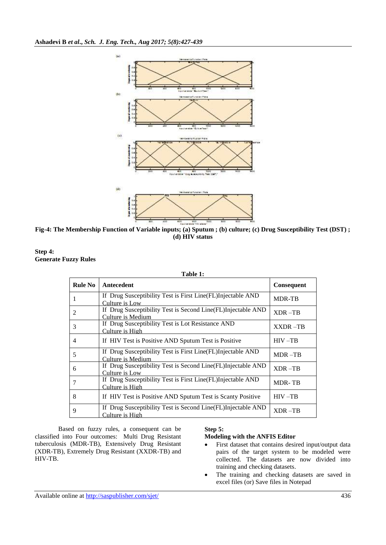

**Fig-4: The Membership Function of Variable inputs; (a) Sputum ; (b) culture; (c) Drug Susceptibility Test (DST) ; (d) HIV status**



| Table 1:       |                                                                                   |                |  |  |
|----------------|-----------------------------------------------------------------------------------|----------------|--|--|
| <b>Rule No</b> | Antecedent                                                                        | Consequent     |  |  |
| 1              | If Drug Susceptibility Test is First Line (FL) Injectable AND<br>Culture is Low   | <b>MDR-TB</b>  |  |  |
| 2              | If Drug Susceptibility Test is Second Line(FL)Injectable AND<br>Culture is Medium | $XDR - TB$     |  |  |
| 3              | If Drug Susceptibility Test is Lot Resistance AND<br>Culture is High              | <b>XXDR-TB</b> |  |  |
| $\overline{4}$ | If HIV Test is Positive AND Sputum Test is Positive                               | $HIV - TB$     |  |  |
| 5              | If Drug Susceptibility Test is First Line(FL)Injectable AND<br>Culture is Medium  | $MDR - TB$     |  |  |
| 6              | If Drug Susceptibility Test is Second Line(FL)Injectable AND<br>Culture is Low    | $XDR - TB$     |  |  |
| 7              | If Drug Susceptibility Test is First Line(FL)Injectable AND<br>Culture is High    | <b>MDR-TB</b>  |  |  |
| 8              | If HIV Test is Positive AND Sputum Test is Scanty Positive                        | $HIV - TB$     |  |  |
| 9              | If Drug Susceptibility Test is Second Line (FL) Injectable AND<br>Culture is High | XDR-TB         |  |  |
|                |                                                                                   |                |  |  |

Based on fuzzy rules, a consequent can be classified into Four outcomes: Multi Drug Resistant tuberculosis (MDR-TB), Extensively Drug Resistant (XDR-TB), Extremely Drug Resistant (XXDR-TB) and HIV-TB.

# **Step 5:**

# **Modeling with the ANFIS Editor**

- First dataset that contains desired input/output data pairs of the target system to be modeled were collected. The datasets are now divided into training and checking datasets.
- The training and checking datasets are saved in excel files (or) Save files in Notepad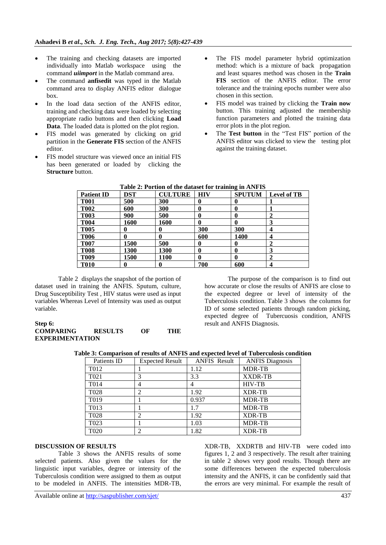- The training and checking datasets are imported individually into Matlab workspace using the command *uiimport* in the Matlab command area.
- The command **anfisedit** was typed in the Matlab command area to display ANFIS editor dialogue box.
- In the load data section of the ANFIS editor, training and checking data were loaded by selecting appropriate radio buttons and then clicking **Load Data**. The loaded data is plotted on the plot region.
- FIS model was generated by clicking on grid partition in the **Generate FIS** section of the ANFIS editor.
- FIS model structure was viewed once an initial FIS has been generated or loaded by clicking the **Structure** button.
- The FIS model parameter hybrid optimization method: which is a mixture of back propagation and least squares method was chosen in the **Train FIS** section of the ANFIS editor. The error tolerance and the training epochs number were also chosen in this section.
- FIS model was trained by clicking the **Train now**  button. This training adjusted the membership function parameters and plotted the training data error plots in the plot region.
- The Test button in the "Test FIS" portion of the ANFIS editor was clicked to view the testing plot against the training dataset.

| <b>Patient ID</b> | DST  | <b>CULTURE</b> | <b>HIV</b> | <b>SPUTUM</b> | Level of TB |
|-------------------|------|----------------|------------|---------------|-------------|
| <b>T001</b>       | 500  | 300            | 0          |               |             |
| <b>T002</b>       | 600  | 300            | 0          | 0             |             |
| <b>T003</b>       | 900  | 500            | 0          | 0             |             |
| <b>T004</b>       | 1600 | 1600           | 0          | 0             |             |
| <b>T005</b>       |      |                | 300        | 300           | 4           |
| <b>T006</b>       |      |                | 600        | 1400          | 4           |
| <b>T007</b>       | 1500 | 500            | $\bf{0}$   | 0             | 2           |
| <b>T008</b>       | 1300 | 1300           | 0          | 0             | 3           |
| <b>T009</b>       | 1500 | 1100           | 0          | 0             |             |
| <b>T010</b>       |      |                | 700        | 600           | 4           |

| Table 2: Portion of the dataset for training in ANFIS |  |  |  |  |  |  |
|-------------------------------------------------------|--|--|--|--|--|--|
|-------------------------------------------------------|--|--|--|--|--|--|

Table 2 displays the snapshot of the portion of dataset used in training the ANFIS. Sputum, culture, Drug Susceptibility Test , HIV status were used as input variables Whereas Level of Intensity was used as output variable.

## **Step 6: COMPARING RESULTS OF THE EXPERIMENTATION**

The purpose of the comparison is to find out how accurate or close the results of ANFIS are close to the expected degree or level of intensity of the Tuberculosis condition. Table 3 shows the columns for ID of some selected patients through random picking, expected degree of Tubercuosis condition, ANFIS result and ANFIS Diagnosis.

**Table 3: Comparison of results of ANFIS and expected level of Tuberculosis condition**

| Patients ID       | <b>Expected Result</b> | <b>ANFIS Result</b> | <b>ANFIS Diagnosis</b> |
|-------------------|------------------------|---------------------|------------------------|
| T <sub>0</sub> 12 |                        | 1.12                | <b>MDR-TB</b>          |
| T <sub>021</sub>  | 3                      | 3.3                 | <b>XXDR-TB</b>         |
| T <sub>0</sub> 14 | 4                      |                     | <b>HIV-TB</b>          |
| T <sub>028</sub>  | $\overline{c}$         | 1.92                | <b>XDR-TB</b>          |
| T <sub>0</sub> 19 |                        | 0.937               | <b>MDR-TB</b>          |
| T <sub>013</sub>  |                        | 1.7                 | <b>MDR-TB</b>          |
| T <sub>028</sub>  | $\overline{c}$         | 1.92                | <b>XDR-TB</b>          |
| T023              |                        | 1.03                | <b>MDR-TB</b>          |
| T <sub>020</sub>  | 2                      | 1.82                | <b>XDR-TB</b>          |

# **DISCUSSION OF RESULTS**

Table 3 shows the ANFIS results of some selected patients. Also given the values for the linguistic input variables, degree or intensity of the Tuberculosis condition were assigned to them as output to be modeled in ANFIS. The intensities MDR-TB, XDR-TB, XXDRTB and HIV-TB were coded into figures 1, 2 and 3 respectively. The result after training in table 2 shows very good results. Though there are some differences between the expected tuberculosis intensity and the ANFIS, it can be confidently said that the errors are very minimal. For example the result of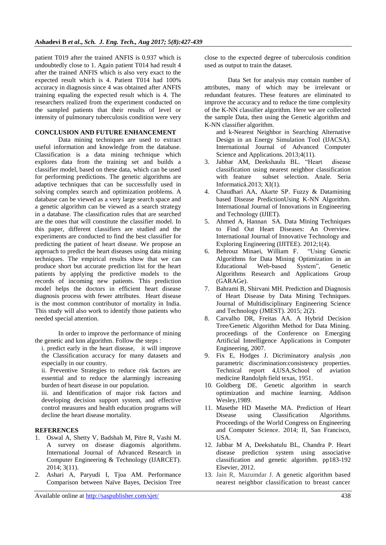patient T019 after the trained ANFIS is 0.937 which is undoubtedly close to 1. Again patient T014 had result 4 after the trained ANFIS which is also very exact to the expected result which is 4. Patient T014 had 100% accuracy in diagnosis since 4 was obtained after ANFIS training equaling the expected result which is 4. The researchers realized from the experiment conducted on the sampled patients that their results of level or intensity of pulmonary tuberculosis condition were very

# **CONCLUSION AND FUTURE ENHANCEMENT**

Data mining techniques are used to extract useful information and knowledge from the database. Classification is a data mining technique which explores data from the training set and builds a classifier model, based on these data, which can be used for performing predictions. The genetic algorithms are adaptive techniques that can be successfully used in solving complex search and optimization problems. A database can be viewed as a very large search space and a genetic algorithm can be viewed as a search strategy in a database. The classification rules that are searched are the ones that will constitute the classifier model. In this paper, different classifiers are studied and the experiments are conducted to find the best classifier for predicting the patient of heart disease. We propose an approach to predict the heart diseases using data mining techniques. The empirical results show that we can produce short but accurate prediction list for the heart patients by applying the predictive models to the records of incoming new patients. This prediction model helps the doctors in efficient heart disease diagnosis process with fewer attributes. Heart disease is the most common contributor of mortality in India. This study will also work to identify those patients who needed special attention.

In order to improve the performance of mining the genetic and knn algorithm. Follow the steps :

i. predict early in the heart disease, it will improve the Classification accuracy for many datasets and especially in our country.

ii. Preventive Strategies to reduce risk factors are essential and to reduce the alarmingly increasing burden of heart disease in our population.

iii. and Identification of major risk factors and developing decision support system, and effective control measures and health education programs will decline the heart disease mortality.

## **REFERENCES**

- 1. Oswal A, Shetty V, Badshah M, Pitre R, Vashi M. A survey on disease diagonsis algorithms. International Journal of Advanced Research in Computer Engineering & Technology (IJARCET). 2014; 3(11).
- 2. Ashari A, Paryudi I, Tjoa AM. Performance Comparison between Naïve Bayes, Decision Tree

close to the expected degree of tuberculosis condition used as output to train the dataset.

Data Set for analysis may contain number of attributes, many of which may be irrelevant or redundant features. These features are eliminated to improve the accuracy and to reduce the time complexity of the K-NN classifier algorithm. Here we are collected the sample Data, then using the Genetic algorithm and K-NN classifier algorithm.

and k-Nearest Neighbor in Searching Alternative Design in an Energy Simulation Tool (IJACSA). International Journal of Advanced Computer Science and Applications. 2013;4(11).

- 3. Jabbar AM, Deekshaulu BL. "Heart disease classification using nearest neighbor classification with feature subset selection. Anale. Seria Informatică.2013; XI(1).
- 4. Chaudhari AA, Akarte SP. Fuzzy & Datamining based Disease PredictionUsing K-NN Algorithm. International Journal of Innovations in Engineering and Technology (IJIET).
- 5. Ahmed A, Hannan SA. Data Mining Techniques to Find Out Heart Diseases: An Overview. International Journal of Innovative Technology and Exploring Engineering (IJITEE). 2012;1(4).
- 6. Behrouz Minaei, William F. "Using Genetic Algorithms for Data Mining Optimization in an Educational Web-based System", Genetic Algorithms Research and Applications Group (GARAGe).
- 7. Bahrami B, Shirvani MH. Prediction and Diagnosis of Heart Disease by Data Mining Techniques. Journal of Multidisciplinary Engineering Science and Technology (JMEST). 2015; 2(2).
- 8. Carvalho DR, Freitas AA. A Hybrid Decision Tree/Genetic Algorithm Method for Data Mining. proceedings of the Conference on Emerging Artificial Inteelligence Applications in Computer Engineering, 2007.
- 9. Fix E, Hodges J. Dicriminatory analysis ,non parametric discrimination:consistency properties. Technical report 4,USA,School of aviation medicine Randolph field texas, 1951.
- 10. Goldberg DE. Genetic algorithm in search optimization and machine learning. Addison Wesley,1989.
- 11. Masethe HD Masethe MA. Prediction of Heart Disease using Classification Algorithms. Proceedings of the World Congress on Engineering and Computer Science. 2014; II, San Francisco, USA.
- 12. Jabbar M A, Deekshatulu BL, Chandra P. Heart disease prediction system using associative classification and genetic algorithm. pp183-192 Elsevier, 2012.
- 13. Jain R[,](mailto:ravi.jain@jcu.edu.au) Mazumdar J. A genetic algorithm based nearest neighbor classification to breast cancer